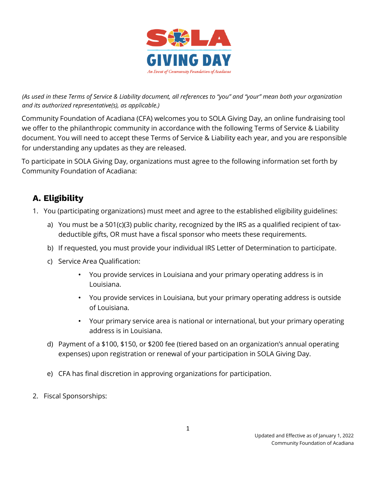

*(As used in these Terms of Service & Liability document, all references to "you" and "your" mean both your organization and its authorized representative(s), as applicable.)* 

Community Foundation of Acadiana (CFA) welcomes you to SOLA Giving Day, an online fundraising tool we offer to the philanthropic community in accordance with the following Terms of Service & Liability document. You will need to accept these Terms of Service & Liability each year, and you are responsible for understanding any updates as they are released.

To participate in SOLA Giving Day, organizations must agree to the following information set forth by Community Foundation of Acadiana:

# **A. Eligibility**

- 1. You (participating organizations) must meet and agree to the established eligibility guidelines:
	- a) You must be a 501(c)(3) public charity, recognized by the IRS as a qualified recipient of taxdeductible gifts, OR must have a fiscal sponsor who meets these requirements.
	- b) If requested, you must provide your individual IRS Letter of Determination to participate.
	- c) Service Area Qualification:
		- You provide services in Louisiana and your primary operating address is in Louisiana.
		- You provide services in Louisiana, but your primary operating address is outside of Louisiana.
		- Your primary service area is national or international, but your primary operating address is in Louisiana.
	- d) Payment of a \$100, \$150, or \$200 fee (tiered based on an organization's annual operating expenses) upon registration or renewal of your participation in SOLA Giving Day.
	- e) CFA has final discretion in approving organizations for participation.
- 2. Fiscal Sponsorships: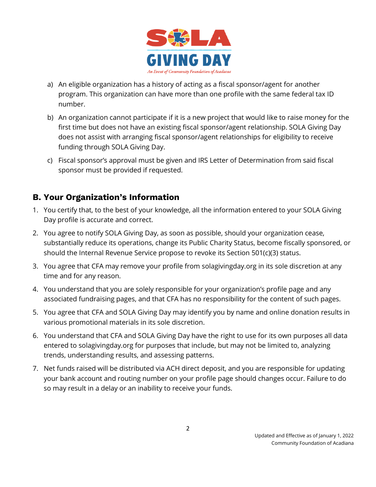

- a) An eligible organization has a history of acting as a fiscal sponsor/agent for another program. This organization can have more than one profile with the same federal tax ID number.
- b) An organization cannot participate if it is a new project that would like to raise money for the first time but does not have an existing fiscal sponsor/agent relationship. SOLA Giving Day does not assist with arranging fiscal sponsor/agent relationships for eligibility to receive funding through SOLA Giving Day.
- c) Fiscal sponsor's approval must be given and IRS Letter of Determination from said fiscal sponsor must be provided if requested.

#### **B. Your Organization's Information**

- 1. You certify that, to the best of your knowledge, all the information entered to your SOLA Giving Day profile is accurate and correct.
- 2. You agree to notify SOLA Giving Day, as soon as possible, should your organization cease, substantially reduce its operations, change its Public Charity Status, become fiscally sponsored, or should the Internal Revenue Service propose to revoke its Section 501(c)(3) status.
- 3. You agree that CFA may remove your profile from solagivingday.org in its sole discretion at any time and for any reason.
- 4. You understand that you are solely responsible for your organization's profile page and any associated fundraising pages, and that CFA has no responsibility for the content of such pages.
- 5. You agree that CFA and SOLA Giving Day may identify you by name and online donation results in various promotional materials in its sole discretion.
- 6. You understand that CFA and SOLA Giving Day have the right to use for its own purposes all data entered to solagivingday.org for purposes that include, but may not be limited to, analyzing trends, understanding results, and assessing patterns.
- 7. Net funds raised will be distributed via ACH direct deposit, and you are responsible for updating your bank account and routing number on your profile page should changes occur. Failure to do so may result in a delay or an inability to receive your funds.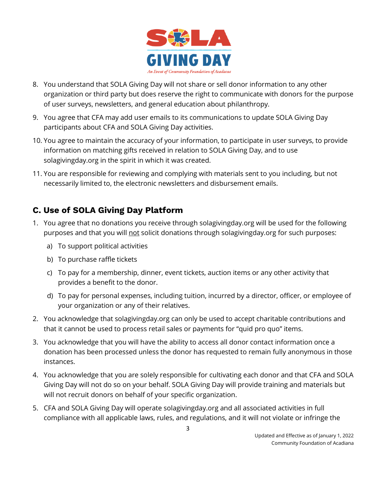

- 8. You understand that SOLA Giving Day will not share or sell donor information to any other organization or third party but does reserve the right to communicate with donors for the purpose of user surveys, newsletters, and general education about philanthropy.
- 9. You agree that CFA may add user emails to its communications to update SOLA Giving Day participants about CFA and SOLA Giving Day activities.
- 10. You agree to maintain the accuracy of your information, to participate in user surveys, to provide information on matching gifts received in relation to SOLA Giving Day, and to use solagivingday.org in the spirit in which it was created.
- 11. You are responsible for reviewing and complying with materials sent to you including, but not necessarily limited to, the electronic newsletters and disbursement emails.

# **C. Use of SOLA Giving Day Platform**

- 1. You agree that no donations you receive through solagivingday.org will be used for the following purposes and that you will not solicit donations through solagivingday.org for such purposes:
	- a) To support political activities
	- b) To purchase raffle tickets
	- c) To pay for a membership, dinner, event tickets, auction items or any other activity that provides a benefit to the donor.
	- d) To pay for personal expenses, including tuition, incurred by a director, officer, or employee of your organization or any of their relatives.
- 2. You acknowledge that solagivingday.org can only be used to accept charitable contributions and that it cannot be used to process retail sales or payments for "quid pro quo" items.
- 3. You acknowledge that you will have the ability to access all donor contact information once a donation has been processed unless the donor has requested to remain fully anonymous in those instances.
- 4. You acknowledge that you are solely responsible for cultivating each donor and that CFA and SOLA Giving Day will not do so on your behalf. SOLA Giving Day will provide training and materials but will not recruit donors on behalf of your specific organization.
- 5. CFA and SOLA Giving Day will operate solagivingday.org and all associated activities in full compliance with all applicable laws, rules, and regulations, and it will not violate or infringe the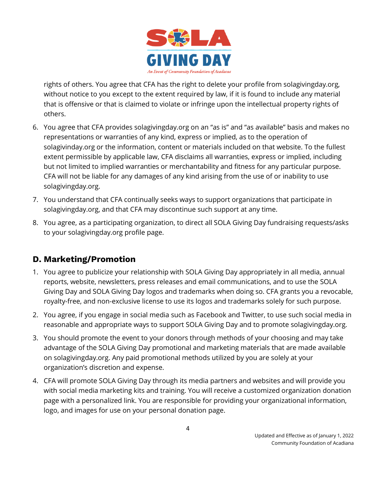

rights of others. You agree that CFA has the right to delete your profile from solagivingday.org, without notice to you except to the extent required by law, if it is found to include any material that is offensive or that is claimed to violate or infringe upon the intellectual property rights of others.

- 6. You agree that CFA provides solagivingday.org on an "as is" and "as available" basis and makes no representations or warranties of any kind, express or implied, as to the operation of solagivinday.org or the information, content or materials included on that website. To the fullest extent permissible by applicable law, CFA disclaims all warranties, express or implied, including but not limited to implied warranties or merchantability and fitness for any particular purpose. CFA will not be liable for any damages of any kind arising from the use of or inability to use solagivingday.org.
- 7. You understand that CFA continually seeks ways to support organizations that participate in solagivingday.org, and that CFA may discontinue such support at any time.
- 8. You agree, as a participating organization, to direct all SOLA Giving Day fundraising requests/asks to your solagivingday.org profile page.

### **D. Marketing/Promotion**

- 1. You agree to publicize your relationship with SOLA Giving Day appropriately in all media, annual reports, website, newsletters, press releases and email communications, and to use the SOLA Giving Day and SOLA Giving Day logos and trademarks when doing so. CFA grants you a revocable, royalty-free, and non-exclusive license to use its logos and trademarks solely for such purpose.
- 2. You agree, if you engage in social media such as Facebook and Twitter, to use such social media in reasonable and appropriate ways to support SOLA Giving Day and to promote solagivingday.org.
- 3. You should promote the event to your donors through methods of your choosing and may take advantage of the SOLA Giving Day promotional and marketing materials that are made available on solagivingday.org. Any paid promotional methods utilized by you are solely at your organization's discretion and expense.
- 4. CFA will promote SOLA Giving Day through its media partners and websites and will provide you with social media marketing kits and training. You will receive a customized organization donation page with a personalized link. You are responsible for providing your organizational information, logo, and images for use on your personal donation page.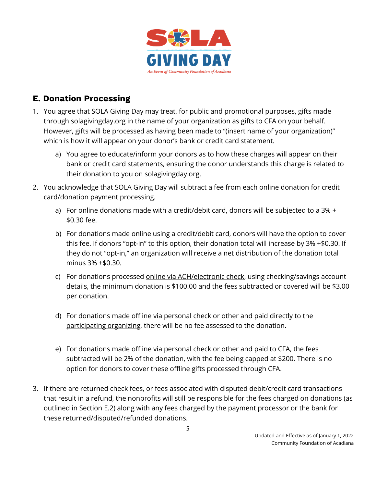

## **E. Donation Processing**

- 1. You agree that SOLA Giving Day may treat, for public and promotional purposes, gifts made through solagivingday.org in the name of your organization as gifts to CFA on your behalf. However, gifts will be processed as having been made to "(insert name of your organization)" which is how it will appear on your donor's bank or credit card statement.
	- a) You agree to educate/inform your donors as to how these charges will appear on their bank or credit card statements, ensuring the donor understands this charge is related to their donation to you on solagivingday.org.
- 2. You acknowledge that SOLA Giving Day will subtract a fee from each online donation for credit card/donation payment processing.
	- a) For online donations made with a credit/debit card, donors will be subjected to a  $3\% +$ \$0.30 fee.
	- b) For donations made online using a credit/debit card, donors will have the option to cover this fee. If donors "opt-in" to this option, their donation total will increase by 3% +\$0.30. If they do not "opt-in," an organization will receive a net distribution of the donation total minus 3% +\$0.30.
	- c) For donations processed online via ACH/electronic check, using checking/savings account details, the minimum donation is \$100.00 and the fees subtracted or covered will be \$3.00 per donation.
	- d) For donations made offline via personal check or other and paid directly to the participating organizing, there will be no fee assessed to the donation.
	- e) For donations made offline via personal check or other and paid to CFA, the fees subtracted will be 2% of the donation, with the fee being capped at \$200. There is no option for donors to cover these offline gifts processed through CFA.
- 3. If there are returned check fees, or fees associated with disputed debit/credit card transactions that result in a refund, the nonprofits will still be responsible for the fees charged on donations (as outlined in Section E.2) along with any fees charged by the payment processor or the bank for these returned/disputed/refunded donations.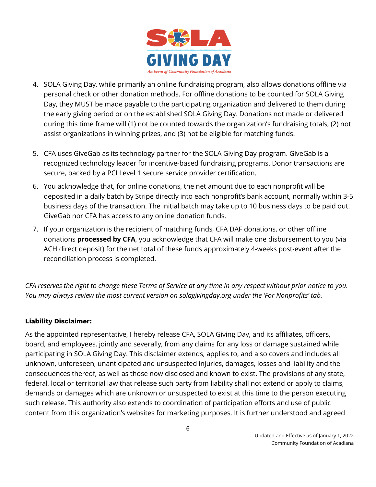

- 4. SOLA Giving Day, while primarily an online fundraising program, also allows donations offline via personal check or other donation methods. For offline donations to be counted for SOLA Giving Day, they MUST be made payable to the participating organization and delivered to them during the early giving period or on the established SOLA Giving Day. Donations not made or delivered during this time frame will (1) not be counted towards the organization's fundraising totals, (2) not assist organizations in winning prizes, and (3) not be eligible for matching funds.
- 5. CFA uses GiveGab as its technology partner for the SOLA Giving Day program. GiveGab is a recognized technology leader for incentive-based fundraising programs. Donor transactions are secure, backed by a PCI Level 1 secure service provider certification.
- 6. You acknowledge that, for online donations, the net amount due to each nonprofit will be deposited in a daily batch by Stripe directly into each nonprofit's bank account, normally within 3-5 business days of the transaction. The initial batch may take up to 10 business days to be paid out. GiveGab nor CFA has access to any online donation funds.
- 7. If your organization is the recipient of matching funds, CFA DAF donations, or other offline donations **processed by CFA**, you acknowledge that CFA will make one disbursement to you (via ACH direct deposit) for the net total of these funds approximately 4-weeks post-event after the reconciliation process is completed.

*CFA reserves the right to change these Terms of Service at any time in any respect without prior notice to you. You may always review the most current version on solagivingday.org under the 'For Nonprofits' tab.* 

#### **Liability Disclaimer:**

As the appointed representative, I hereby release CFA, SOLA Giving Day, and its affiliates, officers, board, and employees, jointly and severally, from any claims for any loss or damage sustained while participating in SOLA Giving Day. This disclaimer extends, applies to, and also covers and includes all unknown, unforeseen, unanticipated and unsuspected injuries, damages, losses and liability and the consequences thereof, as well as those now disclosed and known to exist. The provisions of any state, federal, local or territorial law that release such party from liability shall not extend or apply to claims, demands or damages which are unknown or unsuspected to exist at this time to the person executing such release. This authority also extends to coordination of participation efforts and use of public content from this organization's websites for marketing purposes. It is further understood and agreed